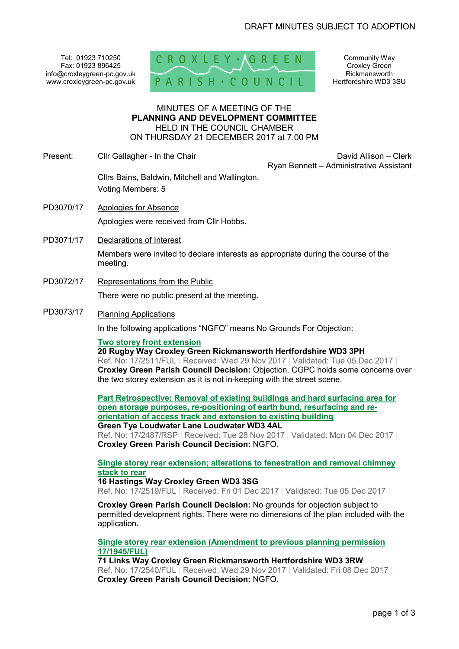Tel: 01923 710250 Fax: 01923 896425 info@croxleygreen-pc.gov.uk www.croxleygreen-pc.gov.uk



Community Way Croxley Green Rickmansworth Hertfordshire WD3 3SU

### MINUTES OF A MEETING OF THE **PLANNING AND DEVELOPMENT COMMITTEE** HELD IN THE COUNCIL CHAMBER ON THURSDAY 21 DECEMBER 2017 at 7.00 PM

Present: Clir Gallagher - In the Chair David Allison – Clerk David Allison – Clerk Ryan Bennett – Administrative Assistant

Cllrs Bains, Baldwin, Mitchell and Wallington. Voting Members: 5

- PD3070/17 Apologies for Absence Apologies were received from Cllr Hobbs.
- PD3071/17 Declarations of Interest

Members were invited to declare interests as appropriate during the course of the meeting.

PD3072/17 Representations from the Public

There were no public present at the meeting.

PD3073/17 Planning Applications

In the following applications "NGFO" means No Grounds For Objection:

## **Two storey front extension**

**20 Rugby Way Croxley Green Rickmansworth Hertfordshire WD3 3PH**  Ref. No: 17/2511/FUL | Received: Wed 29 Nov 2017 | Validated: Tue 05 Dec 2017 | **Croxley Green Parish Council Decision:** Objection. CGPC holds some concerns over the two storey extension as it is not in-keeping with the street scene.

**Part Retrospective: Removal of existing buildings and hard surfacing area for open storage purposes, re-positioning of earth bund, resurfacing and reorientation of access track and extension to existing building Green Tye Loudwater Lane Loudwater WD3 4AL** 

Ref. No: 17/2487/RSP | Received: Tue 28 Nov 2017 | Validated: Mon 04 Dec 2017 | **Croxley Green Parish Council Decision:** NGFO.

## **Single storey rear extension; alterations to fenestration and removal chimney stack to rear**

# **16 Hastings Way Croxley Green WD3 3SG**

Ref. No: 17/2519/FUL | Received: Fri 01 Dec 2017 | Validated: Tue 05 Dec 2017 |

**Croxley Green Parish Council Decision:** No grounds for objection subject to permitted development rights. There were no dimensions of the plan included with the application.

**Single storey rear extension (Amendment to previous planning permission 17/1945/FUL)**

**71 Links Way Croxley Green Rickmansworth Hertfordshire WD3 3RW**  Ref. No: 17/2540/FUL | Received: Wed 29 Nov 2017 | Validated: Fri 08 Dec 2017 | **Croxley Green Parish Council Decision:** NGFO.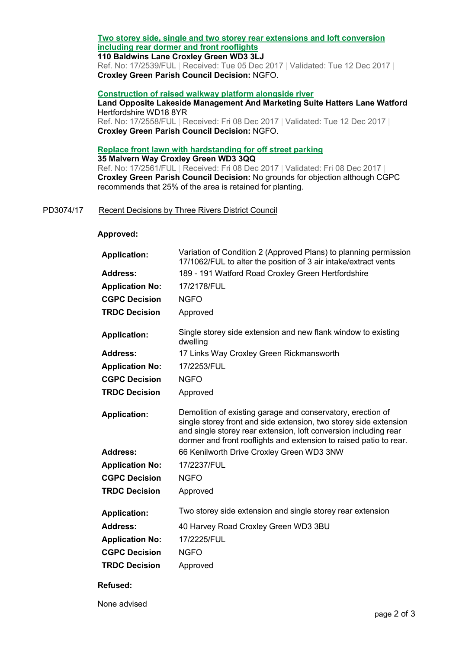# **Two storey side, single and two storey rear extensions and loft conversion including rear dormer and front rooflights**

## **110 Baldwins Lane Croxley Green WD3 3LJ**

Ref. No: 17/2539/FUL | Received: Tue 05 Dec 2017 | Validated: Tue 12 Dec 2017 | **Croxley Green Parish Council Decision:** NGFO.

### **Construction of raised walkway platform alongside river**

## **Land Opposite Lakeside Management And Marketing Suite Hatters Lane Watford** Hertfordshire WD18 8YR

Ref. No: 17/2558/FUL | Received: Fri 08 Dec 2017 | Validated: Tue 12 Dec 2017 | **Croxley Green Parish Council Decision:** NGFO.

# **Replace front lawn with hardstanding for off street parking**

**35 Malvern Way Croxley Green WD3 3QQ**  Ref. No: 17/2561/FUL | Received: Fri 08 Dec 2017 | Validated: Fri 08 Dec 2017 | **Croxley Green Parish Council Decision:** No grounds for objection although CGPC recommends that 25% of the area is retained for planting.

## PD3074/17 Recent Decisions by Three Rivers District Council

### **Approved:**

| Variation of Condition 2 (Approved Plans) to planning permission<br>17/1062/FUL to alter the position of 3 air intake/extract vents                                                                                                                                        |
|----------------------------------------------------------------------------------------------------------------------------------------------------------------------------------------------------------------------------------------------------------------------------|
| 189 - 191 Watford Road Croxley Green Hertfordshire                                                                                                                                                                                                                         |
| 17/2178/FUL                                                                                                                                                                                                                                                                |
| <b>NGFO</b>                                                                                                                                                                                                                                                                |
| Approved                                                                                                                                                                                                                                                                   |
| Single storey side extension and new flank window to existing<br>dwelling                                                                                                                                                                                                  |
| 17 Links Way Croxley Green Rickmansworth                                                                                                                                                                                                                                   |
| 17/2253/FUL                                                                                                                                                                                                                                                                |
| <b>NGFO</b>                                                                                                                                                                                                                                                                |
| Approved                                                                                                                                                                                                                                                                   |
| Demolition of existing garage and conservatory, erection of<br>single storey front and side extension, two storey side extension<br>and single storey rear extension, loft conversion including rear<br>dormer and front rooflights and extension to raised patio to rear. |
| 66 Kenilworth Drive Croxley Green WD3 3NW                                                                                                                                                                                                                                  |
| 17/2237/FUL                                                                                                                                                                                                                                                                |
| <b>NGFO</b>                                                                                                                                                                                                                                                                |
| Approved                                                                                                                                                                                                                                                                   |
| Two storey side extension and single storey rear extension                                                                                                                                                                                                                 |
| 40 Harvey Road Croxley Green WD3 3BU                                                                                                                                                                                                                                       |
| 17/2225/FUL                                                                                                                                                                                                                                                                |
| <b>NGFO</b>                                                                                                                                                                                                                                                                |
| Approved                                                                                                                                                                                                                                                                   |
|                                                                                                                                                                                                                                                                            |

## **Refused:**

None advised